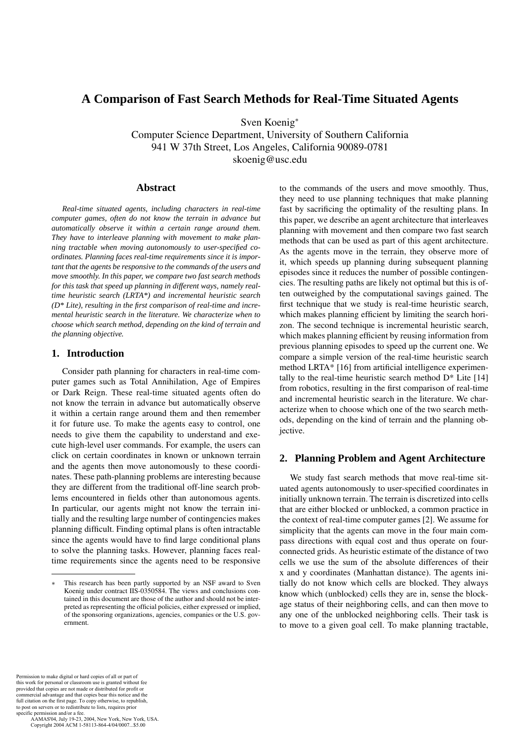# **A Comparison of Fast Search Methods for Real-Time Situated Agents**

Sven Koenig<sup>∗</sup>

Computer Science Department, University of Southern California 941 W 37th Street, Los Angeles, California 90089-0781 skoenig@usc.edu

## **Abstract**

*Real-time situated agents, including characters in real-time computer games, often do not know the terrain in advance but automatically observe it within a certain range around them. They have to interleave planning with movement to make planning tractable when moving autonomously to user-specified coordinates. Planning faces real-time requirements since it is important that the agents be responsive to the commands of the users and move smoothly. In this paper, we compare two fast search methods for this task that speed up planning in different ways, namely realtime heuristic search (LRTA\*) and incremental heuristic search (D\* Lite), resulting in the first comparison of real-time and incremental heuristic search in the literature. We characterize when to choose which search method, depending on the kind of terrain and the planning objective.*

### **1. Introduction**

Consider path planning for characters in real-time computer games such as Total Annihilation, Age of Empires or Dark Reign. These real-time situated agents often do not know the terrain in advance but automatically observe it within a certain range around them and then remember it for future use. To make the agents easy to control, one needs to give them the capability to understand and execute high-level user commands. For example, the users can click on certain coordinates in known or unknown terrain and the agents then move autonomously to these coordinates. These path-planning problems are interesting because they are different from the traditional off-line search problems encountered in fields other than autonomous agents. In particular, our agents might not know the terrain initially and the resulting large number of contingencies makes planning difficult. Finding optimal plans is often intractable since the agents would have to find large conditional plans to solve the planning tasks. However, planning faces realtime requirements since the agents need to be responsive

to the commands of the users and move smoothly. Thus, they need to use planning techniques that make planning fast by sacrificing the optimality of the resulting plans. In this paper, we describe an agent architecture that interleaves planning with movement and then compare two fast search methods that can be used as part of this agent architecture. As the agents move in the terrain, they observe more of it, which speeds up planning during subsequent planning episodes since it reduces the number of possible contingencies. The resulting paths are likely not optimal but this is often outweighed by the computational savings gained. The first technique that we study is real-time heuristic search, which makes planning efficient by limiting the search horizon. The second technique is incremental heuristic search, which makes planning efficient by reusing information from previous planning episodes to speed up the current one. We compare a simple version of the real-time heuristic search method LRTA\* [16] from artificial intelligence experimentally to the real-time heuristic search method  $D^*$  Lite [14] from robotics, resulting in the first comparison of real-time and incremental heuristic search in the literature. We characterize when to choose which one of the two search methods, depending on the kind of terrain and the planning objective.

## **2. Planning Problem and Agent Architecture**

We study fast search methods that move real-time situated agents autonomously to user-specified coordinates in initially unknown terrain. The terrain is discretized into cells that are either blocked or unblocked, a common practice in the context of real-time computer games [2]. We assume for simplicity that the agents can move in the four main compass directions with equal cost and thus operate on fourconnected grids. As heuristic estimate of the distance of two cells we use the sum of the absolute differences of their x and y coordinates (Manhattan distance). The agents initially do not know which cells are blocked. They always know which (unblocked) cells they are in, sense the blockage status of their neighboring cells, and can then move to any one of the unblocked neighboring cells. Their task is to move to a given goal cell. To make planning tractable,

Permission to make digital or hard copies of all or part of this work for personal or classroom use is granted without fee provided that copies are not made or distributed for profit or commercial advantage and that copies bear this notice and the full citation on the first page. To copy otherwise, to republish, to post on servers or to redistribute to lists, requires prior specific permission and/or a fee.

This research has been partly supported by an NSF award to Sven Koenig under contract IIS-0350584. The views and conclusions contained in this document are those of the author and should not be interpreted as representing the official policies, either expressed or implied, of the sponsoring organizations, agencies, companies or the U.S. government.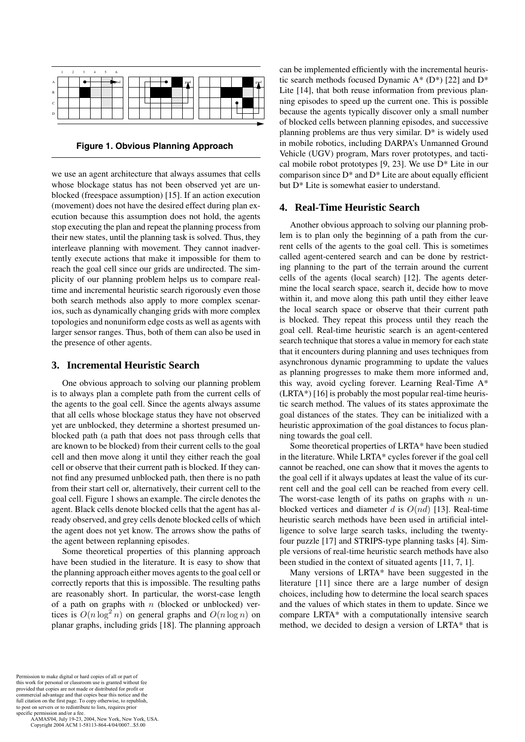

**Figure 1. Obvious Planning Approach**

we use an agent architecture that always assumes that cells whose blockage status has not been observed yet are unblocked (freespace assumption) [15]. If an action execution (movement) does not have the desired effect during plan execution because this assumption does not hold, the agents stop executing the plan and repeat the planning process from their new states, until the planning task is solved. Thus, they interleave planning with movement. They cannot inadvertently execute actions that make it impossible for them to reach the goal cell since our grids are undirected. The simplicity of our planning problem helps us to compare realtime and incremental heuristic search rigorously even those both search methods also apply to more complex scenarios, such as dynamically changing grids with more complex topologies and nonuniform edge costs as well as agents with larger sensor ranges. Thus, both of them can also be used in the presence of other agents.

## **3. Incremental Heuristic Search**

One obvious approach to solving our planning problem is to always plan a complete path from the current cells of the agents to the goal cell. Since the agents always assume that all cells whose blockage status they have not observed yet are unblocked, they determine a shortest presumed unblocked path (a path that does not pass through cells that are known to be blocked) from their current cells to the goal cell and then move along it until they either reach the goal cell or observe that their current path is blocked. If they cannot find any presumed unblocked path, then there is no path from their start cell or, alternatively, their current cell to the goal cell. Figure 1 shows an example. The circle denotes the agent. Black cells denote blocked cells that the agent has already observed, and grey cells denote blocked cells of which the agent does not yet know. The arrows show the paths of the agent between replanning episodes.

Some theoretical properties of this planning approach have been studied in the literature. It is easy to show that the planning approach either moves agents to the goal cell or correctly reports that this is impossible. The resulting paths are reasonably short. In particular, the worst-case length of a path on graphs with *n* (blocked or unblocked) vertices is  $O(n \log^2 n)$  on general graphs and  $O(n \log n)$  on planar graphs including grids [18]. The planning approach planar graphs, including grids [18]. The planning approach

can be implemented efficiently with the incremental heuristic search methods focused Dynamic  $A^*$  (D\*) [22] and D\* Lite [14], that both reuse information from previous planning episodes to speed up the current one. This is possible because the agents typically discover only a small number of blocked cells between planning episodes, and successive planning problems are thus very similar. D\* is widely used in mobile robotics, including DARPA's Unmanned Ground Vehicle (UGV) program, Mars rover prototypes, and tactical mobile robot prototypes  $[9, 23]$ . We use  $D^*$  Lite in our comparison since  $D^*$  and  $D^*$  Lite are about equally efficient but D\* Lite is somewhat easier to understand.

## **4. Real-Time Heuristic Search**

Another obvious approach to solving our planning problem is to plan only the beginning of a path from the current cells of the agents to the goal cell. This is sometimes called agent-centered search and can be done by restricting planning to the part of the terrain around the current cells of the agents (local search) [12]. The agents determine the local search space, search it, decide how to move within it, and move along this path until they either leave the local search space or observe that their current path is blocked. They repeat this process until they reach the goal cell. Real-time heuristic search is an agent-centered search technique that stores a value in memory for each state that it encounters during planning and uses techniques from asynchronous dynamic programming to update the values as planning progresses to make them more informed and, this way, avoid cycling forever. Learning Real-Time A\* (LRTA\*) [16] is probably the most popular real-time heuristic search method. The values of its states approximate the goal distances of the states. They can be initialized with a heuristic approximation of the goal distances to focus planning towards the goal cell.

Some theoretical properties of LRTA\* have been studied in the literature. While LRTA\* cycles forever if the goal cell cannot be reached, one can show that it moves the agents to the goal cell if it always updates at least the value of its current cell and the goal cell can be reached from every cell. The worst-case length of its paths on graphs with *n* unblocked vertices and diameter *<sup>d</sup>* is *<sup>O</sup>*(*nd*) [13]. Real-time heuristic search methods have been used in artificial intelligence to solve large search tasks, including the twentyfour puzzle [17] and STRIPS-type planning tasks [4]. Simple versions of real-time heuristic search methods have also been studied in the context of situated agents [11, 7, 1].

Many versions of LRTA\* have been suggested in the literature [11] since there are a large number of design choices, including how to determine the local search spaces and the values of which states in them to update. Since we compare LRTA\* with a computationally intensive search method, we decided to design a version of LRTA\* that is

Permission to make digital or hard copies of all or part of this work for personal or classroom use is granted without fee provided that copies are not made or distributed for profit or commercial advantage and that copies bear this notice and the full citation on the first page. To copy otherwise, to republish, to post on servers or to redistribute to lists, requires prior specific permission and/or a fee.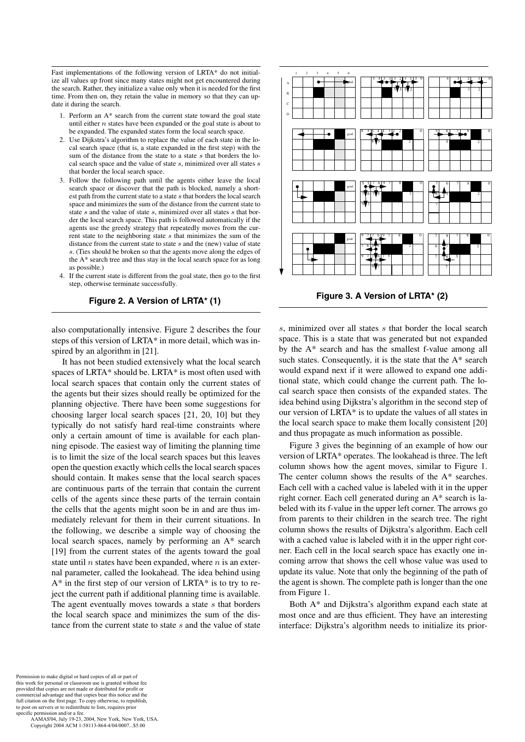Fast implementations of the following version of LRTA\* do not initialize all values up front since many states might not get encountered during the search. Rather, they initialize a value only when it is needed for the first time. From then on, they retain the value in memory so that they can update it during the search.

- 1. Perform an A\* search from the current state toward the goal state until either *n* states have been expanded or the goal state is about to be expanded. The expanded states form the local search space.
- 2. Use Dijkstra's algorithm to replace the value of each state in the local search space (that is, a state expanded in the first step) with the sum of the distance from the state to a state *s* that borders the local search space and the value of state *s*, minimized over all states *s* that border the local search space.
- 3. Follow the following path until the agents either leave the local search space or discover that the path is blocked, namely a shortest path from the current state to a state *s* that borders the local search space and minimizes the sum of the distance from the current state to state *s* and the value of state *s*, minimized over all states *s* that border the local search space. This path is followed automatically if the agents use the greedy strategy that repeatedly moves from the current state to the neighboring state *s* that minimizes the sum of the distance from the current state to state *s* and the (new) value of state *s*. (Ties should be broken so that the agents move along the edges of the A\* search tree and thus stay in the local search space for as long as possible.)
- 4. If the current state is different from the goal state, then go to the first step, otherwise terminate successfully.

#### **Figure 2. A Version of LRTA\* (1)**

also computationally intensive. Figure 2 describes the four steps of this version of LRTA\* in more detail, which was inspired by an algorithm in [21].

It has not been studied extensively what the local search spaces of LRTA\* should be. LRTA\* is most often used with local search spaces that contain only the current states of the agents but their sizes should really be optimized for the planning objective. There have been some suggestions for choosing larger local search spaces [21, 20, 10] but they typically do not satisfy hard real-time constraints where only a certain amount of time is available for each planning episode. The easiest way of limiting the planning time is to limit the size of the local search spaces but this leaves open the question exactly which cells the local search spaces should contain. It makes sense that the local search spaces are continuous parts of the terrain that contain the current cells of the agents since these parts of the terrain contain the cells that the agents might soon be in and are thus immediately relevant for them in their current situations. In the following, we describe a simple way of choosing the local search spaces, namely by performing an A\* search [19] from the current states of the agents toward the goal state until *n* states have been expanded, where *n* is an external parameter, called the lookahead. The idea behind using  $A^*$  in the first step of our version of LRTA\* is to try to reject the current path if additional planning time is available. The agent eventually moves towards a state *s* that borders the local search space and minimizes the sum of the distance from the current state to state *s* and the value of state



**Figure 3. A Version of LRTA\* (2)**

*s*, minimized over all states *s* that border the local search space. This is a state that was generated but not expanded by the A\* search and has the smallest f-value among all such states. Consequently, it is the state that the A\* search would expand next if it were allowed to expand one additional state, which could change the current path. The local search space then consists of the expanded states. The idea behind using Dijkstra's algorithm in the second step of our version of LRTA\* is to update the values of all states in the local search space to make them locally consistent [20] and thus propagate as much information as possible.

Figure 3 gives the beginning of an example of how our version of LRTA\* operates. The lookahead is three. The left column shows how the agent moves, similar to Figure 1. The center column shows the results of the A\* searches. Each cell with a cached value is labeled with it in the upper right corner. Each cell generated during an A\* search is labeled with its f-value in the upper left corner. The arrows go from parents to their children in the search tree. The right column shows the results of Dijkstra's algorithm. Each cell with a cached value is labeled with it in the upper right corner. Each cell in the local search space has exactly one incoming arrow that shows the cell whose value was used to update its value. Note that only the beginning of the path of the agent is shown. The complete path is longer than the one from Figure 1.

Both A\* and Dijkstra's algorithm expand each state at most once and are thus efficient. They have an interesting interface: Dijkstra's algorithm needs to initialize its prior-

Permission to make digital or hard copies of all or part of this work for personal or classroom use is granted without feel with provided that copies are not made or distributed for profit or commercial advantage and that copies bear this notice and the full citation on the first page. To copy otherwise, to republish, to post on servers or to redistribute to lists, requires prior specific permission and/or a fee.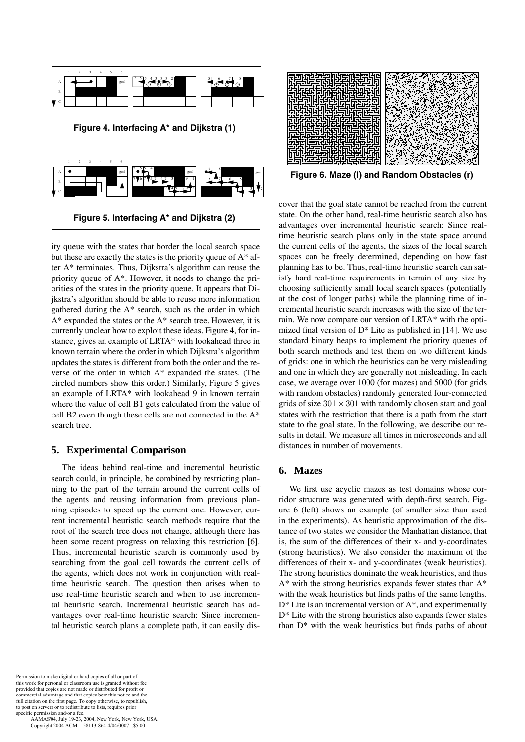

**Figure 5. Interfacing A\* and Dijkstra (2)**

ity queue with the states that border the local search space but these are exactly the states is the priority queue of  $A^*$  after A\* terminates. Thus, Dijkstra's algorithm can reuse the priority queue of A\*. However, it needs to change the priorities of the states in the priority queue. It appears that Dijkstra's algorithm should be able to reuse more information gathered during the A\* search, such as the order in which  $A^*$  expanded the states or the  $A^*$  search tree. However, it is currently unclear how to exploit these ideas. Figure 4, for instance, gives an example of LRTA\* with lookahead three in known terrain where the order in which Dijkstra's algorithm updates the states is different from both the order and the reverse of the order in which A\* expanded the states. (The circled numbers show this order.) Similarly, Figure 5 gives an example of LRTA\* with lookahead 9 in known terrain where the value of cell B1 gets calculated from the value of cell B2 even though these cells are not connected in the A\* search tree.

## **5. Experimental Comparison**

The ideas behind real-time and incremental heuristic search could, in principle, be combined by restricting planning to the part of the terrain around the current cells of the agents and reusing information from previous planning episodes to speed up the current one. However, current incremental heuristic search methods require that the root of the search tree does not change, although there has been some recent progress on relaxing this restriction [6]. Thus, incremental heuristic search is commonly used by searching from the goal cell towards the current cells of the agents, which does not work in conjunction with realtime heuristic search. The question then arises when to use real-time heuristic search and when to use incremental heuristic search. Incremental heuristic search has advantages over real-time heuristic search: Since incremental heuristic search plans a complete path, it can easily dis-

Permission to make digital or hard copies of all or part of this work for personal or classroom use is granted without fee provided that copies are not made or distributed for profit or commercial advantage and that copies bear this notice and the full citation on the first page. To copy otherwise, to republish to post on servers or to redistribute to lists, requires prior specific permission and/or a fee.

 AAMAS'04, July 19-23, 2004, New York, New York, USA. Copyright 2004 ACM 1-58113-864-4/04/0007...\$5.00



cover that the goal state cannot be reached from the current state. On the other hand, real-time heuristic search also has advantages over incremental heuristic search: Since realtime heuristic search plans only in the state space around the current cells of the agents, the sizes of the local search spaces can be freely determined, depending on how fast planning has to be. Thus, real-time heuristic search can satisfy hard real-time requirements in terrain of any size by choosing sufficiently small local search spaces (potentially at the cost of longer paths) while the planning time of incremental heuristic search increases with the size of the terrain. We now compare our version of LRTA\* with the optimized final version of  $D^*$  Lite as published in [14]. We use standard binary heaps to implement the priority queues of both search methods and test them on two different kinds of grids: one in which the heuristics can be very misleading and one in which they are generally not misleading. In each case, we average over 1000 (for mazes) and 5000 (for grids with random obstacles) randomly generated four-connected grids of size 301*×*301 with randomly chosen start and goal states with the restriction that there is a path from the start state to the goal state. In the following, we describe our results in detail. We measure all times in microseconds and all distances in number of movements.

## **6. Mazes**

We first use acyclic mazes as test domains whose corridor structure was generated with depth-first search. Figure 6 (left) shows an example (of smaller size than used in the experiments). As heuristic approximation of the distance of two states we consider the Manhattan distance, that is, the sum of the differences of their x- and y-coordinates (strong heuristics). We also consider the maximum of the differences of their x- and y-coordinates (weak heuristics). The strong heuristics dominate the weak heuristics, and thus A\* with the strong heuristics expands fewer states than A\* with the weak heuristics but finds paths of the same lengths.  $D^*$  Lite is an incremental version of  $A^*$ , and experimentally D\* Lite with the strong heuristics also expands fewer states than  $D^*$  with the weak heuristics but finds paths of about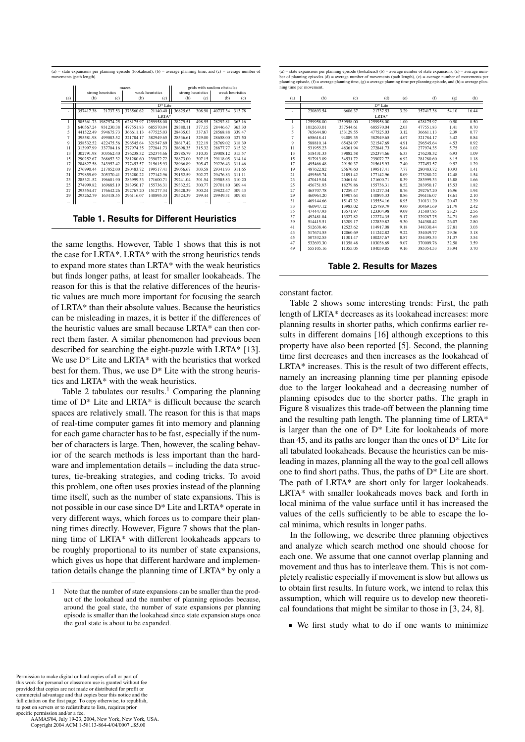(a) = state expansions per planning episode (lookahead), (b) = average planning time, and (c) = average number of movements (path length).

|     | mazes             |            |                    |            |                   |        | grids with random obstacles |        |
|-----|-------------------|------------|--------------------|------------|-------------------|--------|-----------------------------|--------|
|     | strong heuristics |            | weak heuristics    |            | strong heuristics |        | weak heuristics             |        |
| (a) | (b)               | (c)        | (b)                | (c)        | (b)               | (c)    | (b)                         | (c)    |
|     | $D^*$ Lite        |            |                    |            |                   |        |                             |        |
|     | 357417.38         |            | 21737.53 373560.62 | 21140.40   | 36825.63          | 308.98 | 40737.34                    | 313.78 |
|     |                   |            |                    | LRTA*      |                   |        |                             |        |
|     | 985361.73         | 1987574.25 | 628175.97          | 1259958.00 | 28279.51          | 498.55 | 28292.81                    | 363.16 |
| 3   | 640567.24         | 931230.38  | 477551.83          | 685570.04  | 28380.11          | 377.15 | 28446.67                    | 363.30 |
| 5   | 441522.49         | 594675.73  | 366611.13          | 477525.03  | 28435.03          | 337.67 | 28568.88                    | 339.47 |
| 7   | 395581.98         | 499083.52  | 321784.17          | 382949.65  | 28536.61          | 329.00 | 28658.00                    | 327.50 |
| 9   | 358532.52         | 422475.56  | 296545.64          | 321547.69  | 28617.42          | 322.19 | 28769.02                    | 318.39 |
| 11  | 313997.99         | 337704.16  | 277974.35          | 272841.73  | 28698.35          | 315.32 | 28877.77                    | 315.32 |
| 13  | 302791.98         | 303562.40  | 276238.32          | 252374.66  | 28785.79          | 310.35 | 29008.12                    | 315.57 |
| 15  | 290252.67         | 268652.32  | 281280.60          | 239072.72  | 28873.00          | 307.15 | 29118.05                    | 314.14 |
| 17  | 284827.58         | 243952.42  | 277453.57          | 215615.93  | 28966.89          | 305.47 | 29226.43                    | 311.46 |
| 19  | 276990.44         | 217852.00  | 280483.72          | 199517.41  | 29056.67          | 303.58 | 29341.93                    | 311.65 |
| 21  | 279855.69         | 205370.41  | 273280.22          | 177142.96  | 29152.59          | 302.27 | 29476.83                    | 311.11 |
| 23  | 285321.52         | 196601.90  | 283999.33          | 171600.71  | 29241.04          | 301.54 | 29585.83                    | 310.20 |
| 25  | 274999.82         | 169685.19  | 283950.17          | 155736.31  | 29332.52          | 300.77 | 29701.80                    | 309.44 |
| 27  | 293554.47         | 176642.26  | 292767.20          | 151277.34  | 29428.39          | 300.24 | 29822.47                    | 309.43 |
| 29  | 293262.79         | 163418.55  | 296116.07          | 140895.33  | 29524.39          | 299.44 | 29949.31                    | 309.84 |
|     |                   |            |                    |            |                   |        |                             |        |

**Table 1. Results for Different Heuristics**

the same lengths. However, Table 1 shows that this is not the case for LRTA\*. LRTA\* with the strong heuristics tends to expand more states than LRTA\* with the weak heuristics but finds longer paths, at least for smaller lookaheads. The reason for this is that the relative differences of the heuristic values are much more important for focusing the search of LRTA\* than their absolute values. Because the heuristics can be misleading in mazes, it is better if the differences of the heuristic values are small because LRTA\* can then correct them faster. A similar phenomenon had previous been described for searching the eight-puzzle with LRTA\* [13]. We use D\* Lite and LRTA\* with the heuristics that worked best for them. Thus, we use  $D^*$  Lite with the strong heuristics and LRTA\* with the weak heuristics.

Table 2 tabulates our results.<sup>1</sup> Comparing the planning time of D\* Lite and LRTA\* is difficult because the search spaces are relatively small. The reason for this is that maps of real-time computer games fit into memory and planning for each game character has to be fast, especially if the number of characters is large. Then, however, the scaling behavior of the search methods is less important than the hardware and implementation details – including the data structures, tie-breaking strategies, and coding tricks. To avoid this problem, one often uses proxies instead of the planning time itself, such as the number of state expansions. This is not possible in our case since D\* Lite and LRTA\* operate in very different ways, which forces us to compare their planning times directly. However, Figure 7 shows that the planning time of LRTA\* with different lookaheads appears to be roughly proportional to its number of state expansions, which gives us hope that different hardware and implementation details change the planning time of LRTA\* by only a

(a) = state expansions per planning episode (lookahead) (b) = average number of state expansions, (c) = average num-<br>ber of planning episodes (d) = average number of movements (path length), (e) = average number of movemen  $p$  ing episode, (f) = average planning time, (g) = average planning time per planning episode, and (h) = average pl .<br>ning time per movement.

| (a)                      | (b)        | (c)        | (d)        | (e)  | (f)       | (g)   | (h)   |
|--------------------------|------------|------------|------------|------|-----------|-------|-------|
|                          |            |            | $D*$ Lite  |      |           |       |       |
| ٠                        | 230893.54  | 6606.37    | 21737.53   | 3.29 | 357417.38 | 54.10 | 16.44 |
|                          |            |            | $LRTA*$    |      |           |       |       |
| 1                        | 1259958.00 | 1259958.00 | 1259958.00 | 1.00 | 628175.97 | 0.50  | 0.50  |
| 3                        | 1012633.01 | 337544.61  | 685570.04  | 2.03 | 477551.83 | 1.41  | 0.70  |
| $\overline{\phantom{0}}$ | 765644.80  | 153129.55  | 477525.03  | 3.12 | 366611.13 | 2.39  | 0.77  |
| $\overline{7}$           | 658618.41  | 94089.35   | 382949.65  | 4.07 | 321784.17 | 3.42  | 0.84  |
| 9                        | 588810.14  | 65424.97   | 321547.69  | 4.91 | 296545.64 | 4.53  | 0.92  |
| 11                       | 531955.23  | 48361.94   | 272841.73  | 5.64 | 277974.35 | 5.75  | 1.02  |
| 13                       | 518431.33  | 39882.58   | 252374.66  | 6.33 | 276238.32 | 6.93  | 1.09  |
| 15                       | 517913.09  | 34531.72   | 239072.72  | 6.92 | 281280.60 | 8.15  | 1.18  |
| 17                       | 495466.48  | 29150.37   | 215615.93  | 7.40 | 277453.57 | 9.52  | 1.29  |
| 19                       | 487622.82  | 25670.60   | 199517.41  | 7.77 | 280483.72 | 10.93 | 1.41  |
| 21                       | 459565.74  | 21891.42   | 177142.96  | 8.09 | 273280.22 | 12.48 | 1.54  |
| 23                       | 470419.04  | 20461.61   | 171600.71  | 8.39 | 283999.33 | 13.88 | 1.66  |
| 25                       | 456751.93  | 18279.86   | 155736.31  | 8.52 | 283950.17 | 15.53 | 1.82  |
| 27                       | 465707.78  | 17259.47   | 151277.34  | 8.76 | 292767.20 | 16.96 | 1.94  |
| 29                       | 460964.20  | 15907.64   | 140895.33  | 8.86 | 296116.07 | 18.61 | 2.10  |
| 31                       | 469144.66  | 15147.32   | 135554.16  | 8.95 | 310131.20 | 20.47 | 2.29  |
| 33                       | 460947.12  | 13983.02   | 125789.79  | 9.00 | 304691.69 | 21.79 | 2.42  |
| 35                       | 474447.93  | 13571.97   | 123304.98  | 9.09 | 315807.85 | 23.27 | 2.56  |
| 37                       | 492481.84  | 13327.82   | 122274.35  | 9.17 | 329287.75 | 24.71 | 2.69  |
| 39                       | 514415.51  | 13209.17   | 122839.82  | 9.30 | 344388.42 | 26.07 | 2.80  |
| 41                       | 512638.46  | 12523.62   | 114917.08  | 9.18 | 348330.44 | 27.81 | 3.03  |
| 43                       | 517674.55  | 12060.69   | 111242.82  | 9.22 | 354049.77 | 29.36 | 3.18  |
| 45                       | 507532.55  | 11301.47   | 100257.67  | 8.87 | 354495.33 | 31.37 | 3.54  |
| 47                       | 532693.30  | 11358.48   | 103038.69  | 9.07 | 370009.76 | 32.58 | 3.59  |
| 49                       | 555105.16  | 11355.05   | 104059.85  | 9.16 | 385354.53 | 33.94 | 3.70  |
|                          |            |            |            |      |           |       |       |

**Table 2. Results for Mazes**

constant factor.

Table 2 shows some interesting trends: First, the path length of LRTA\* decreases as its lookahead increases: more planning results in shorter paths, which confirms earlier results in different domains [16] although exceptions to this property have also been reported [5]. Second, the planning time first decreases and then increases as the lookahead of LRTA\* increases. This is the result of two different effects, namely an increasing planning time per planning episode due to the larger lookahead and a decreasing number of planning episodes due to the shorter paths. The graph in Figure 8 visualizes this trade-off between the planning time and the resulting path length. The planning time of LRTA\* is larger than the one of  $D^*$  Lite for lookaheads of more than 45, and its paths are longer than the ones of  $D^*$  Lite for all tabulated lookaheads. Because the heuristics can be misleading in mazes, planning all the way to the goal cell allows one to find short paths. Thus, the paths of  $D^*$  Lite are short. The path of LRTA\* are short only for larger lookaheads. LRTA\* with smaller lookaheads moves back and forth in local minima of the value surface until it has increased the values of the cells sufficiently to be able to escape the local minima, which results in longer paths.

In the following, we describe three planning objectives and analyze which search method one should choose for each one. We assume that one cannot overlap planning and movement and thus has to interleave them. This is not completely realistic especially if movement is slow but allows us to obtain first results. In future work, we intend to relax this assumption, which will require us to develop new theoretical foundations that might be similar to those in [3, 24, 8].

• We first study what to do if one wants to minimize

Permission to make digital or hard copies of all or part of this work for personal or classroom use is granted without fee provided that copies are not made or distributed for profit or commercial advantage and that copies bear this notice and the full citation on the first page. To copy otherwise, to republish, to post on servers or to redistribute to lists, requires prior specific permission and/or a fee.

<sup>1</sup> Note that the number of state expansions can be smaller than the product of the lookahead and the number of planning episodes because, around the goal state, the number of state expansions per planning episode is smaller than the lookahead since state expansion stops once the goal state is about to be expanded.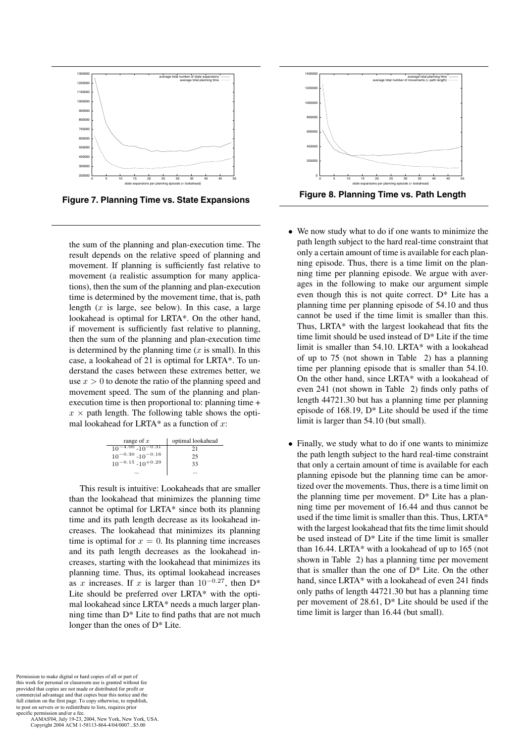

**Figure 7. Planning Time vs. State Expansions**

the sum of the planning and plan-execution time. The result depends on the relative speed of planning and movement. If planning is sufficiently fast relative to movement (a realistic assumption for many applications), then the sum of the planning and plan-execution time is determined by the movement time, that is, path length (*x* is large, see below). In this case, a large lookahead is optimal for LRTA\*. On the other hand, if movement is sufficiently fast relative to planning, then the sum of the planning and plan-execution time is determined by the planning time (*x* is small). In this case, a lookahead of 21 is optimal for LRTA\*. To understand the cases between these extremes better, we use  $x > 0$  to denote the ratio of the planning speed and movement speed. The sum of the planning and planexecution time is then proportional to: planning time +  $x \times$  path length. The following table shows the optimal lookahead for LRTA\* as a function of *x*:

| range of $x$                       | optimal lookahead |
|------------------------------------|-------------------|
| $-4.00$ -10 <sup>-0.31</sup><br>10 | 21                |
| $10^{-0.30}$ -10 <sup>-0.16</sup>  | つう                |
| $10^{-0.15}$ - $10^{+0.29}$        | 33                |
|                                    |                   |

This result is intuitive: Lookaheads that are smaller than the lookahead that minimizes the planning time cannot be optimal for LRTA\* since both its planning time and its path length decrease as its lookahead increases. The lookahead that minimizes its planning time is optimal for  $x = 0$ . Its planning time increases and its path length decreases as the lookahead increases, starting with the lookahead that minimizes its planning time. Thus, its optimal lookahead increases as *<sup>x</sup>* increases. If *<sup>x</sup>* is larger than 10*<sup>−</sup>*0*.*<sup>27</sup>, then D\* Lite should be preferred over LRTA\* with the optimal lookahead since LRTA\* needs a much larger planning time than D\* Lite to find paths that are not much longer than the ones of D\* Lite.



- *•* We now study what to do if one wants to minimize the path length subject to the hard real-time constraint that only a certain amount of time is available for each planning episode. Thus, there is a time limit on the planning time per planning episode. We argue with averages in the following to make our argument simple even though this is not quite correct.  $D^*$  Lite has a planning time per planning episode of 54.10 and thus cannot be used if the time limit is smaller than this. Thus, LRTA\* with the largest lookahead that fits the time limit should be used instead of  $D^*$  Lite if the time limit is smaller than 54.10. LRTA\* with a lookahead of up to 75 (not shown in Table 2) has a planning time per planning episode that is smaller than 54.10. On the other hand, since LRTA\* with a lookahead of even 241 (not shown in Table 2) finds only paths of length 44721.30 but has a planning time per planning episode of 168.19, D\* Lite should be used if the time limit is larger than 54.10 (but small).
- *•* Finally, we study what to do if one wants to minimize the path length subject to the hard real-time constraint that only a certain amount of time is available for each planning episode but the planning time can be amortized over the movements. Thus, there is a time limit on the planning time per movement.  $D^*$  Lite has a planning time per movement of 16.44 and thus cannot be used if the time limit is smaller than this. Thus, LRTA\* with the largest lookahead that fits the time limit should be used instead of D\* Lite if the time limit is smaller than 16.44. LRTA\* with a lookahead of up to 165 (not shown in Table 2) has a planning time per movement that is smaller than the one of  $D^*$  Lite. On the other hand, since LRTA\* with a lookahead of even 241 finds only paths of length 44721.30 but has a planning time per movement of 28.61, D\* Lite should be used if the time limit is larger than 16.44 (but small).

Permission to make digital or hard copies of all or part of this work for personal or classroom use is granted without fee provided that copies are not made or distributed for profit or commercial advantage and that copies bear this notice and the full citation on the first page. To copy otherwise, to republish, to post on servers or to redistribute to lists, requires prior specific permission and/or a fee.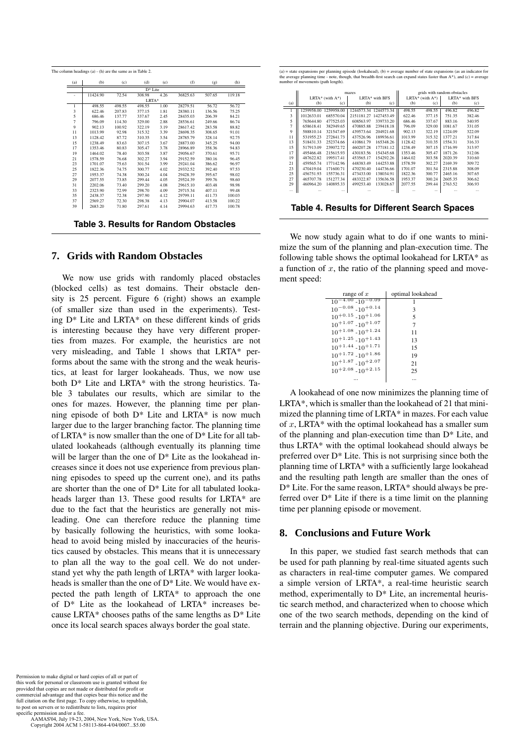| (a)                      | (b)      | (c)    | (d)       | (e)  | (f)      | (g)    | (h)    |
|--------------------------|----------|--------|-----------|------|----------|--------|--------|
|                          |          |        | $D*$ Lite |      |          |        |        |
| $\overline{\phantom{a}}$ | 11424.90 | 72.54  | 308.98    | 4.26 | 36825.63 | 507.65 | 119.18 |
|                          |          |        | LRTA*     |      |          |        |        |
| 1                        | 498.55   | 498.55 | 498.55    | 1.00 | 28279.51 | 56.72  | 56.72  |
| 3                        | 622.46   | 207.83 | 377.15    | 1.81 | 28380.11 | 136.56 | 75.25  |
| 5                        | 686.46   | 137.77 | 337.67    | 2.45 | 28435.03 | 206.39 | 84.21  |
| $\overline{7}$           | 796.09   | 114.30 | 329.00    | 2.88 | 28536.61 | 249.66 | 86.74  |
| 9                        | 902.13   | 100.92 | 322.19    | 3.19 | 28617.42 | 283.58 | 88.82  |
| 11                       | 1013.99  | 92.98  | 315.32    | 3.39 | 28698.35 | 308.65 | 91.01  |
| 13                       | 1128.42  | 87.72  | 310.35    | 3.54 | 28785.79 | 328.14 | 92.75  |
| 15                       | 1238.49  | 83.63  | 307.15    | 3.67 | 28873.00 | 345.25 | 94.00  |
| 17                       | 1353.46  | 80.83  | 305.47    | 3.78 | 28966.89 | 358.36 | 94.83  |
| 19                       | 1464.02  | 78.40  | 303.58    | 3.87 | 29056.67 | 370.61 | 95.71  |
| 21                       | 1578.59  | 76.68  | 302.27    | 3.94 | 29152.59 | 380.16 | 96.45  |
| 23                       | 1701.07  | 75.63  | 301.54    | 3.99 | 29241.04 | 386.62 | 96.97  |
| 25                       | 1822.36  | 74.75  | 300.77    | 4.02 | 29332.52 | 392.40 | 97.53  |
| 27                       | 1953.37  | 74.38  | 300.24    | 4.04 | 29428.39 | 395.67 | 98.02  |
| 29                       | 2077.55  | 73.85  | 299.44    | 4.05 | 29524.39 | 399.76 | 98.60  |
| 31                       | 2202.06  | 73.40  | 299.20    | 4.08 | 29615.10 | 403.48 | 98.98  |
| 33                       | 2323.90  | 72.99  | 298.70    | 4.09 | 29715.34 | 407.11 | 99.48  |
| 35                       | 2438.37  | 72.38  | 297.90    | 4.12 | 29799.11 | 411.73 | 100.03 |
| 37                       | 2569.27  | 72.30  | 298.38    | 4.13 | 29904.07 | 413.58 | 100.22 |
| 39                       | 2683.20  | 71.80  | 297.61    | 4.14 | 29994.63 | 417.73 | 100.78 |

**Table 3. Results for Random Obstacles**

### **7. Grids with Random Obstacles**

We now use grids with randomly placed obstacles (blocked cells) as test domains. Their obstacle density is 25 percent. Figure 6 (right) shows an example (of smaller size than used in the experiments). Testing D\* Lite and LRTA\* on these different kinds of grids is interesting because they have very different properties from mazes. For example, the heuristics are not very misleading, and Table 1 shows that LRTA\* performs about the same with the strong and the weak heuristics, at least for larger lookaheads. Thus, we now use both D\* Lite and LRTA\* with the strong heuristics. Table 3 tabulates our results, which are similar to the ones for mazes. However, the planning time per planning episode of both D\* Lite and LRTA\* is now much larger due to the larger branching factor. The planning time of LRTA\* is now smaller than the one of D\* Lite for all tabulated lookaheads (although eventually its planning time will be larger than the one of  $D^*$  Lite as the lookahead increases since it does not use experience from previous planning episodes to speed up the current one), and its paths are shorter than the one of D\* Lite for all tabulated lookaheads larger than 13. These good results for LRTA\* are due to the fact that the heuristics are generally not misleading. One can therefore reduce the planning time by basically following the heuristics, with some lookahead to avoid being misled by inaccuracies of the heuristics caused by obstacles. This means that it is unnecessary to plan all the way to the goal cell. We do not understand yet why the path length of LRTA\* with larger lookaheads is smaller than the one of D\* Lite. We would have expected the path length of LRTA\* to approach the one of D\* Lite as the lookahead of LRTA\* increases because LRTA $*$  chooses paths of the same lengths as  $D^*$  Lite once its local search spaces always border the goal state.

Permission to make digital or hard copies of all or part of this work for personal or classroom use is granted without fee provided that copies are not made or distributed for profit or commercial advantage and that copies bear this notice and the full citation on the first page. To copy otherwise, to republish, to post on servers or to redistribute to lists, requires prior specific permission and/or a fee.

 AAMAS'04, July 19-23, 2004, New York, New York, USA. Copyright 2004 ACM 1-58113-864-4/04/0007...\$5.00

(a) = state expansions per planning episode (lookahead), (b) = average number of state expansions (as an indicator for<br>the average planning time - note, though, that breadth-first search can expand states faster than  $A^*$  $ents$  (path length).

| mazes        | grids with random obstacles                                                                                                                                                                                             |                          |          |                        |                |  |
|--------------|-------------------------------------------------------------------------------------------------------------------------------------------------------------------------------------------------------------------------|--------------------------|----------|------------------------|----------------|--|
|              | LRTA* with BFS                                                                                                                                                                                                          |                          |          |                        | LRTA* with BFS |  |
| (b)<br>(c)   | (c)                                                                                                                                                                                                                     | (b)                      | (c)      | (b)                    | (c)            |  |
|              |                                                                                                                                                                                                                         | 498.55                   | 498.55   | 496.82                 | 496.82         |  |
| 2151181.27   | 1427453.49                                                                                                                                                                                                              | 622.46                   | 377.15   | 751.35                 | 382.46         |  |
| 608563.97    | 339733.20                                                                                                                                                                                                               | 686.46                   | 337.67   | 883.16                 | 340.95         |  |
| 470885.88    | 239418.18                                                                                                                                                                                                               | 796.09                   | 329.00   | 1081.67                | 331.05         |  |
| 439573.64    | 204921.68                                                                                                                                                                                                               | 902.13                   | 322.19   | 1224.09                | 322.09         |  |
| 437526.96    | 189936.61                                                                                                                                                                                                               | 1013.99                  | 315.32   | 1377.21                | 317.84         |  |
| 410861.79    | 165348.26                                                                                                                                                                                                               | 1128.42                  | 310.35   | 1554.31                | 316.33         |  |
| 460207.28    | 177181.12                                                                                                                                                                                                               | 1238.49                  | 307.15   | 1716.99                | 313.97         |  |
| 430183.56    | 154345.68                                                                                                                                                                                                               | 1353.46                  | 305.47   | 1871.26                | 312.06         |  |
| 453565.17    | 154292.26                                                                                                                                                                                                               | 1464.02                  | 303.58   | 2020.39                | 310.60         |  |
| 448383.49    | 144253.88                                                                                                                                                                                                               | 1578.59                  | 302.27   | 2169.39                | 309.72         |  |
| 470230.40    | 144736.66                                                                                                                                                                                                               | 1701.07                  | 301.54   | 2315.88                | 308.09         |  |
| 473433.00    | 138034.91                                                                                                                                                                                                               | 1822.36                  | 300.77   | 2465.16                | 307.65         |  |
| 483322.87    | 135636.58                                                                                                                                                                                                               | 1953.37                  | 300.24   | 2605.35                | 306.62         |  |
| 499253.40    | 133028.67                                                                                                                                                                                                               | 2077.55                  | 299.44   | 2763.52                | 306.93         |  |
| $\cdots$<br> | $\cdots$                                                                                                                                                                                                                | $\cdots$                 | $\cdots$ | $\ddotsc$              | $\cdots$       |  |
|              |                                                                                                                                                                                                                         |                          |          |                        |                |  |
|              | LRTA* (with $A^*$ )<br>1259958.00<br>685570.04<br>477525.03<br>382949.65<br>321547.69<br>272841.73<br>252374.66<br>239072.72<br>215615.93<br>199517.41<br>177142.96<br>171600.71<br>155736.31<br>151277.34<br>140895.33 | 1244573.34<br>1244573.34 |          | $LRTA^*$ (with $A^*$ ) |                |  |

**Table 4. Results for Different Search Spaces**

We now study again what to do if one wants to minimize the sum of the planning and plan-execution time. The following table shows the optimal lookahead for LRTA\* as a function of *x*, the ratio of the planning speed and movement speed:

| range of $x$                      | optimal lookahead |
|-----------------------------------|-------------------|
| $10^{-4.00}$ -10 <sup>-1</sup>    |                   |
| $10^{-0.08}$ -10 <sup>+0.14</sup> | 3                 |
| $10^{+0.15}$ -10 <sup>+1.06</sup> | 5                 |
| $10^{+1.07}$ - $10^{+1.07}$       | 7                 |
| $10^{+1.08}$ - $10^{+1.24}$       | 11                |
| $10^{+1.25}$ -10 <sup>+1.43</sup> | 13                |
| $10^{+1.44}$ - $10^{+1.71}$       | 15                |
| $10^{+1.72}$ - $10^{+1.86}$       | 19                |
| $10^{+1.87}$ -10 <sup>+2.07</sup> | 21                |
| $10^{+2.08}$ -10 <sup>+2.15</sup> | 25                |
|                                   |                   |

A lookahead of one now minimizes the planning time of LRTA\*, which is smaller than the lookahead of 21 that minimized the planning time of LRTA\* in mazes. For each value of *x*, LRTA\* with the optimal lookahead has a smaller sum of the planning and plan-execution time than D\* Lite, and thus LRTA\* with the optimal lookahead should always be preferred over D\* Lite. This is not surprising since both the planning time of LRTA\* with a sufficiently large lookahead and the resulting path length are smaller than the ones of D\* Lite. For the same reason, LRTA\* should always be preferred over  $D^*$  Lite if there is a time limit on the planning time per planning episode or movement.

## **8. Conclusions and Future Work**

In this paper, we studied fast search methods that can be used for path planning by real-time situated agents such as characters in real-time computer games. We compared a simple version of LRTA\*, a real-time heuristic search method, experimentally to D\* Lite, an incremental heuristic search method, and characterized when to choose which one of the two search methods, depending on the kind of terrain and the planning objective. During our experiments,